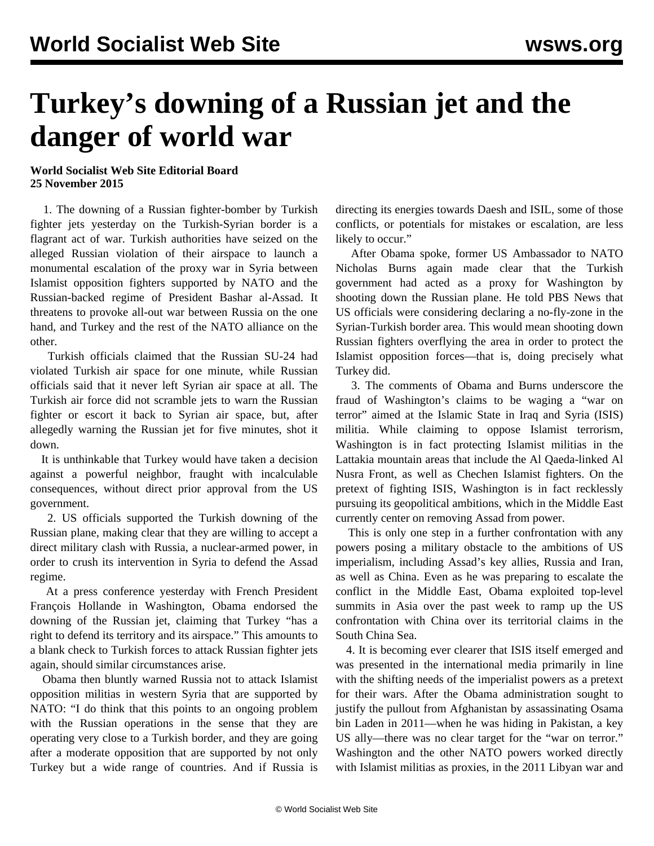## **Turkey's downing of a Russian jet and the danger of world war**

## **World Socialist Web Site Editorial Board 25 November 2015**

 1. The downing of a Russian fighter-bomber by Turkish fighter jets yesterday on the Turkish-Syrian border is a flagrant act of war. Turkish authorities have seized on the alleged Russian violation of their airspace to launch a monumental escalation of the proxy war in Syria between Islamist opposition fighters supported by NATO and the Russian-backed regime of President Bashar al-Assad. It threatens to provoke all-out war between Russia on the one hand, and Turkey and the rest of the NATO alliance on the other.

 Turkish officials claimed that the Russian SU-24 had violated Turkish air space for one minute, while Russian officials said that it never left Syrian air space at all. The Turkish air force did not scramble jets to warn the Russian fighter or escort it back to Syrian air space, but, after allegedly warning the Russian jet for five minutes, shot it down.

 It is unthinkable that Turkey would have taken a decision against a powerful neighbor, fraught with incalculable consequences, without direct prior approval from the US government.

 2. US officials supported the Turkish downing of the Russian plane, making clear that they are willing to accept a direct military clash with Russia, a nuclear-armed power, in order to crush its intervention in Syria to defend the Assad regime.

 At a press conference yesterday with French President François Hollande in Washington, Obama endorsed the downing of the Russian jet, claiming that Turkey "has a right to defend its territory and its airspace." This amounts to a blank check to Turkish forces to attack Russian fighter jets again, should similar circumstances arise.

 Obama then bluntly warned Russia not to attack Islamist opposition militias in western Syria that are supported by NATO: "I do think that this points to an ongoing problem with the Russian operations in the sense that they are operating very close to a Turkish border, and they are going after a moderate opposition that are supported by not only Turkey but a wide range of countries. And if Russia is

directing its energies towards Daesh and ISIL, some of those conflicts, or potentials for mistakes or escalation, are less likely to occur."

 After Obama spoke, former US Ambassador to NATO Nicholas Burns again made clear that the Turkish government had acted as a proxy for Washington by shooting down the Russian plane. He told PBS News that US officials were considering declaring a no-fly-zone in the Syrian-Turkish border area. This would mean shooting down Russian fighters overflying the area in order to protect the Islamist opposition forces—that is, doing precisely what Turkey did.

 3. The comments of Obama and Burns underscore the fraud of Washington's claims to be waging a "war on terror" aimed at the Islamic State in Iraq and Syria (ISIS) militia. While claiming to oppose Islamist terrorism, Washington is in fact protecting Islamist militias in the Lattakia mountain areas that include the Al Qaeda-linked Al Nusra Front, as well as Chechen Islamist fighters. On the pretext of fighting ISIS, Washington is in fact recklessly pursuing its geopolitical ambitions, which in the Middle East currently center on removing Assad from power.

 This is only one step in a further confrontation with any powers posing a military obstacle to the ambitions of US imperialism, including Assad's key allies, Russia and Iran, as well as China. Even as he was preparing to escalate the conflict in the Middle East, Obama exploited top-level summits in Asia over the past week to ramp up the US confrontation with China over its territorial claims in the South China Sea.

 4. It is becoming ever clearer that ISIS itself emerged and was presented in the international media primarily in line with the shifting needs of the imperialist powers as a pretext for their wars. After the Obama administration sought to justify the pullout from Afghanistan by assassinating Osama bin Laden in 2011—when he was hiding in Pakistan, a key US ally—there was no clear target for the "war on terror." Washington and the other NATO powers worked directly with Islamist militias as proxies, in the 2011 Libyan war and